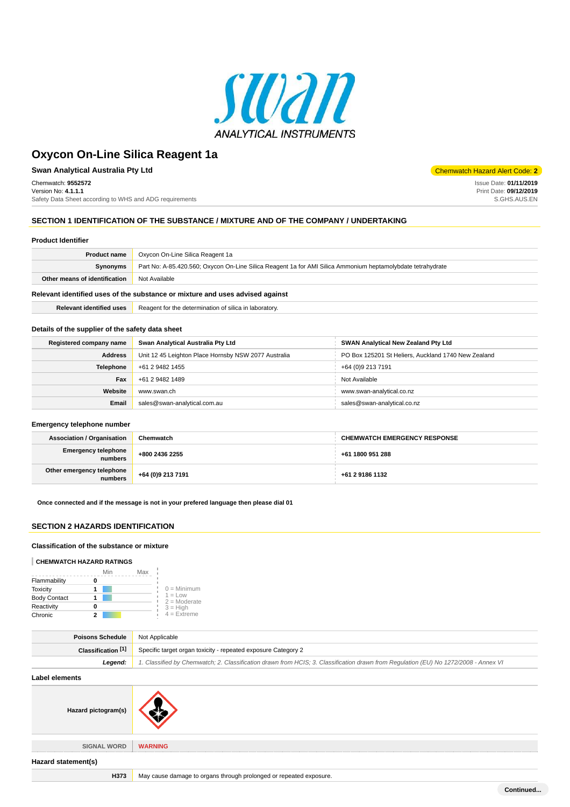

**Swan Analytical Australia Pty Ltd** Chemwatch Hazard Alert Code: **2** Chemwatch: **9552572** Version No: **4.1.1.1** Safety Data Sheet according to WHS and ADG requirements

Issue Date: **01/11/2019** Print Date: **09/12/2019** S.GHS.AUS.EN

**Continued...**

### **SECTION 1 IDENTIFICATION OF THE SUBSTANCE / MIXTURE AND OF THE COMPANY / UNDERTAKING**

#### **Product Identifier**

| <b>Product name</b>                                                           | Oxycon On-Line Silica Reagent 1a                                                                            |  |  |  |
|-------------------------------------------------------------------------------|-------------------------------------------------------------------------------------------------------------|--|--|--|
| <b>Synonyms</b>                                                               | Part No: A-85.420.560; Oxycon On-Line Silica Reagent 1a for AMI Silica Ammonium heptamolybdate tetrahydrate |  |  |  |
| Other means of identification                                                 | Not Available                                                                                               |  |  |  |
| Relevant identified uses of the substance or mixture and uses advised against |                                                                                                             |  |  |  |

**Relevant identified uses** Reagent for the determination of silica in laboratory.

#### **Details of the supplier of the safety data sheet**

| Registered company name | Swan Analytical Australia Pty Ltd                    | <b>SWAN Analytical New Zealand Pty Ltd</b>          |
|-------------------------|------------------------------------------------------|-----------------------------------------------------|
| <b>Address</b>          | Unit 12 45 Leighton Place Hornsby NSW 2077 Australia | PO Box 125201 St Heliers, Auckland 1740 New Zealand |
| Telephone               | +61 2 9482 1455                                      | +64 (0)9 213 7191                                   |
| Fax                     | +61 2 9482 1489                                      | Not Available                                       |
| Website                 | www.swan.ch                                          | www.swan-analytical.co.nz                           |
| Email                   | sales@swan-analytical.com.au                         | sales@swan-analytical.co.nz                         |

### **Emergency telephone number**

| <b>Association / Organisation</b>    | Chemwatch         | <b>CHEMWATCH EMERGENCY RESPONSE</b> |
|--------------------------------------|-------------------|-------------------------------------|
| Emergency telephone<br>numbers       | +800 2436 2255    | +61 1800 951 288                    |
| Other emergency telephone<br>numbers | +64 (0)9 213 7191 | +61 2 9186 1132                     |

**Once connected and if the message is not in your prefered language then please dial 01**

# **SECTION 2 HAZARDS IDENTIFICATION**

### **Classification of the substance or mixture**

#### **CHEMWATCH HAZARD RATINGS**

|                     | Min | Max |                             |
|---------------------|-----|-----|-----------------------------|
| Flammability        |     |     |                             |
| <b>Toxicity</b>     |     |     | $0 =$ Minimum               |
| <b>Body Contact</b> |     |     | $1 = Low$<br>$2 =$ Moderate |
| Reactivity          |     |     | $3 = High$                  |
| Chronic             | 2   |     | $4 = Ex$ <i>reme</i>        |

| <b>Poisons Schedule</b> Not Applicable |                                                                                                                                     |  |  |  |
|----------------------------------------|-------------------------------------------------------------------------------------------------------------------------------------|--|--|--|
| <b>Classification</b> [1]              | <sup>1</sup> Specific target organ toxicity - repeated exposure Category 2                                                          |  |  |  |
| Leaend:                                | 1. Classified by Chemwatch; 2. Classification drawn from HCIS; 3. Classification drawn from Requlation (EU) No 1272/2008 - Annex VI |  |  |  |

**Label elements**

| <b>EUNUI VIUIIIUIIIU</b> |                                                                    |
|--------------------------|--------------------------------------------------------------------|
| Hazard pictogram(s)      |                                                                    |
| <b>SIGNAL WORD</b>       | <b>WARNING</b>                                                     |
| Hazard statement(s)      |                                                                    |
| H373                     | May cause damage to organs through prolonged or repeated exposure. |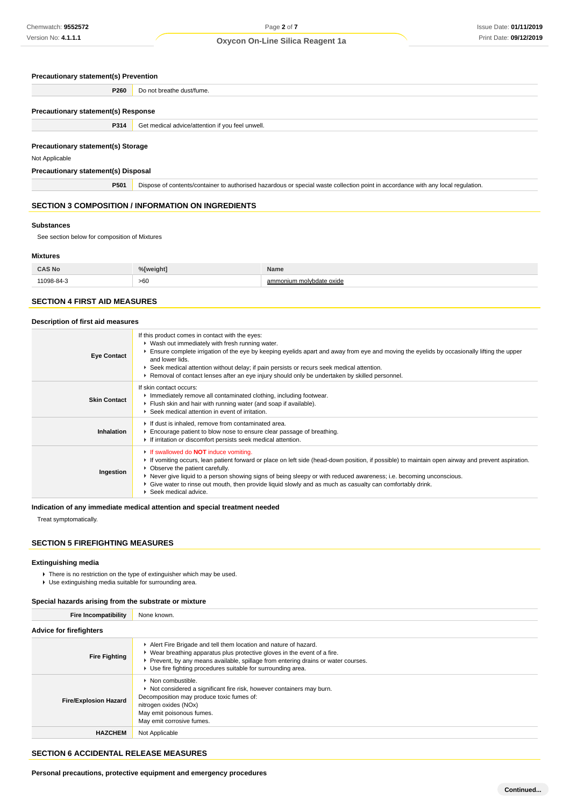### **Precautionary statement(s) Prevention**

**P260** Do not breathe dust/fume.

#### **Precautionary statement(s) Response**

| P314                                      | Get medical advice/attention if you feel unwell. |
|-------------------------------------------|--------------------------------------------------|
|                                           |                                                  |
| <b>Precautionary statement(s) Storage</b> |                                                  |

Not Applicable

### **Precautionary statement(s) Disposal**

**P501** Dispose of contents/container to authorised hazardous or special waste collection point in accordance with any local regulation.

# **SECTION 3 COMPOSITION / INFORMATION ON INGREDIENTS**

#### **Substances**

See section below for composition of Mixtures

#### **Mixtures**

| <b>CAS No</b>            | 0/11<br>eiaht1 | Name                          |  |  |
|--------------------------|----------------|-------------------------------|--|--|
| $^{\circ}$ O $^{\prime}$ | >60            | nonium molvbdate oxide<br>amı |  |  |

### **SECTION 4 FIRST AID MEASURES**

#### **Description of first aid measures**

| <b>Eye Contact</b>  | If this product comes in contact with the eyes:<br>▶ Wash out immediately with fresh running water.<br>Ensure complete irrigation of the eye by keeping eyelids apart and away from eye and moving the eyelids by occasionally lifting the upper<br>and lower lids.<br>Seek medical attention without delay; if pain persists or recurs seek medical attention.<br>► Removal of contact lenses after an eye injury should only be undertaken by skilled personnel.                                 |
|---------------------|----------------------------------------------------------------------------------------------------------------------------------------------------------------------------------------------------------------------------------------------------------------------------------------------------------------------------------------------------------------------------------------------------------------------------------------------------------------------------------------------------|
| <b>Skin Contact</b> | If skin contact occurs:<br>Immediately remove all contaminated clothing, including footwear.<br>Flush skin and hair with running water (and soap if available).<br>Seek medical attention in event of irritation.                                                                                                                                                                                                                                                                                  |
| Inhalation          | If dust is inhaled, remove from contaminated area.<br>Encourage patient to blow nose to ensure clear passage of breathing.<br>If irritation or discomfort persists seek medical attention.                                                                                                                                                                                                                                                                                                         |
| Ingestion           | If swallowed do <b>NOT</b> induce vomiting.<br>If vomiting occurs, lean patient forward or place on left side (head-down position, if possible) to maintain open airway and prevent aspiration.<br>• Observe the patient carefully.<br>▶ Never give liquid to a person showing signs of being sleepy or with reduced awareness; i.e. becoming unconscious.<br>► Give water to rinse out mouth, then provide liquid slowly and as much as casualty can comfortably drink.<br>▶ Seek medical advice. |

**Indication of any immediate medical attention and special treatment needed**

Treat symptomatically.

### **SECTION 5 FIREFIGHTING MEASURES**

# **Extinguishing media**

There is no restriction on the type of extinguisher which may be used.

Use extinguishing media suitable for surrounding area.

### **Special hazards arising from the substrate or mixture**

| <b>Fire Incompatibility</b>    | None known.                                                                                                                                                                                                                                                                                                             |  |  |  |
|--------------------------------|-------------------------------------------------------------------------------------------------------------------------------------------------------------------------------------------------------------------------------------------------------------------------------------------------------------------------|--|--|--|
| <b>Advice for firefighters</b> |                                                                                                                                                                                                                                                                                                                         |  |  |  |
| <b>Fire Fighting</b>           | Alert Fire Brigade and tell them location and nature of hazard.<br>$\blacktriangleright$ Wear breathing apparatus plus protective gloves in the event of a fire.<br>▶ Prevent, by any means available, spillage from entering drains or water courses.<br>▶ Use fire fighting procedures suitable for surrounding area. |  |  |  |
| <b>Fire/Explosion Hazard</b>   | • Non combustible.<br>▶ Not considered a significant fire risk, however containers may burn.<br>Decomposition may produce toxic fumes of:<br>nitrogen oxides (NOx)<br>May emit poisonous fumes.<br>May emit corrosive fumes.                                                                                            |  |  |  |
| <b>HAZCHEM</b>                 | Not Applicable                                                                                                                                                                                                                                                                                                          |  |  |  |

# **SECTION 6 ACCIDENTAL RELEASE MEASURES**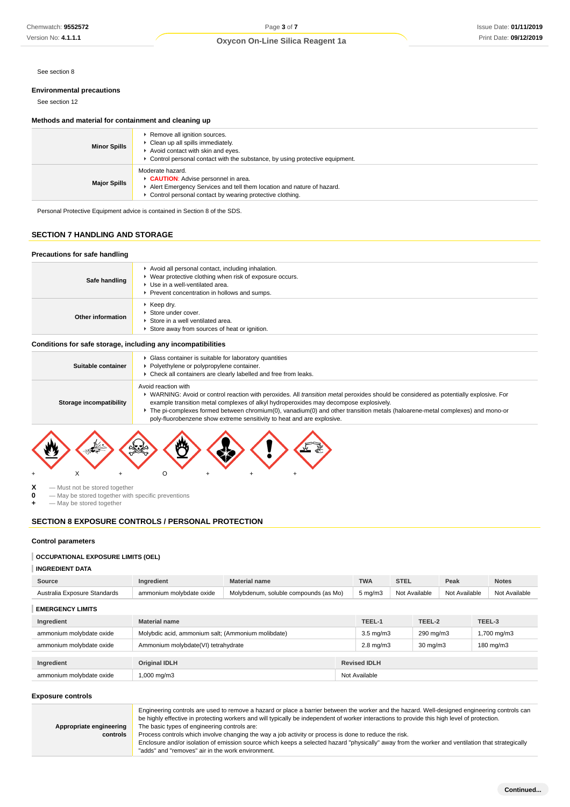See section 8

#### **Environmental precautions**

See section 12

### **Methods and material for containment and cleaning up**

| ▶ Remove all ignition sources.<br>• Clean up all spills immediately.<br><b>Minor Spills</b><br>Avoid contact with skin and eyes.<br>• Control personal contact with the substance, by using protective equipment. |                                                                                                                                                                                               |  |
|-------------------------------------------------------------------------------------------------------------------------------------------------------------------------------------------------------------------|-----------------------------------------------------------------------------------------------------------------------------------------------------------------------------------------------|--|
| <b>Major Spills</b>                                                                                                                                                                                               | Moderate hazard.<br>CAUTION: Advise personnel in area.<br>Alert Emergency Services and tell them location and nature of hazard.<br>• Control personal contact by wearing protective clothing. |  |

Personal Protective Equipment advice is contained in Section 8 of the SDS.

## **SECTION 7 HANDLING AND STORAGE**

#### **Precautions for safe handling Safe handling** Avoid all personal contact, including inhalation. Wear protective clothing when risk of exposure occurs. Use in a well-ventilated area. Prevent concentration in hollows and sumps. **Other information** Keep dry. ■ Store under cover. Store in a well ventilated area. Store away from sources of heat or ignition.

### **Conditions for safe storage, including any incompatibilities**

| Suitable container      | • Glass container is suitable for laboratory quantities<br>Polyethylene or polypropylene container.<br>• Check all containers are clearly labelled and free from leaks.                                                                                                                                                                                                                                                                                                 |  |  |  |  |  |
|-------------------------|-------------------------------------------------------------------------------------------------------------------------------------------------------------------------------------------------------------------------------------------------------------------------------------------------------------------------------------------------------------------------------------------------------------------------------------------------------------------------|--|--|--|--|--|
| Storage incompatibility | Avoid reaction with<br>► WARNING: Avoid or control reaction with peroxides. All <i>transition metal</i> peroxides should be considered as potentially explosive. For<br>example transition metal complexes of alkyl hydroperoxides may decompose explosively.<br>The pi-complexes formed between chromium(0), vanadium(0) and other transition metals (haloarene-metal complexes) and mono-or<br>poly-fluorobenzene show extreme sensitivity to heat and are explosive. |  |  |  |  |  |
|                         |                                                                                                                                                                                                                                                                                                                                                                                                                                                                         |  |  |  |  |  |



**X** — Must not be stored together<br>**0** — May be stored together with

**0** — May be stored together with specific preventions

**+** — May be stored together

# **SECTION 8 EXPOSURE CONTROLS / PERSONAL PROTECTION**

#### **Control parameters**

### **OCCUPATIONAL EXPOSURE LIMITS (OEL)**

**INGREDIENT DATA**

| Source                       | Ingredient                                         | <b>Material name</b>                  |  | <b>TWA</b>           | <b>STEL</b>   |                   | Peak          |        | <b>Notes</b>  |
|------------------------------|----------------------------------------------------|---------------------------------------|--|----------------------|---------------|-------------------|---------------|--------|---------------|
| Australia Exposure Standards | ammonium molybdate oxide                           | Molybdenum, soluble compounds (as Mo) |  | $5 \text{ mg/m}$ 3   | Not Available |                   | Not Available |        | Not Available |
| <b>EMERGENCY LIMITS</b>      |                                                    |                                       |  |                      |               |                   |               |        |               |
| Ingredient                   | <b>Material name</b>                               |                                       |  | TEEL-1               |               | TEEL-2            |               | TEEL-3 |               |
| ammonium molybdate oxide     | Molybdic acid, ammonium salt; (Ammonium molibdate) |                                       |  | $3.5 \text{ mg/m}$   |               | 290 mg/m3         |               |        | 1,700 mg/m3   |
| ammonium molybdate oxide     | Ammonium molybdate(VI) tetrahydrate                |                                       |  | $2.8 \text{ mg/m}$ 3 |               | $30 \text{ mg/m}$ |               |        | 180 mg/m3     |
|                              |                                                    |                                       |  |                      |               |                   |               |        |               |
| Ingredient                   | <b>Original IDLH</b>                               |                                       |  | <b>Revised IDLH</b>  |               |                   |               |        |               |
| ammonium molybdate oxide     | 1,000 mg/m3                                        |                                       |  | Not Available        |               |                   |               |        |               |

### **Exposure controls**

|                         | Engineering controls are used to remove a hazard or place a barrier between the worker and the hazard. Well-designed engineering controls can<br>be highly effective in protecting workers and will typically be independent of worker interactions to provide this high level of protection. |
|-------------------------|-----------------------------------------------------------------------------------------------------------------------------------------------------------------------------------------------------------------------------------------------------------------------------------------------|
| Appropriate engineering | The basic types of engineering controls are:                                                                                                                                                                                                                                                  |
| controls                | Process controls which involve changing the way a job activity or process is done to reduce the risk.                                                                                                                                                                                         |
|                         | Enclosure and/or isolation of emission source which keeps a selected hazard "physically" away from the worker and ventilation that strategically                                                                                                                                              |
|                         | "adds" and "removes" air in the work environment.                                                                                                                                                                                                                                             |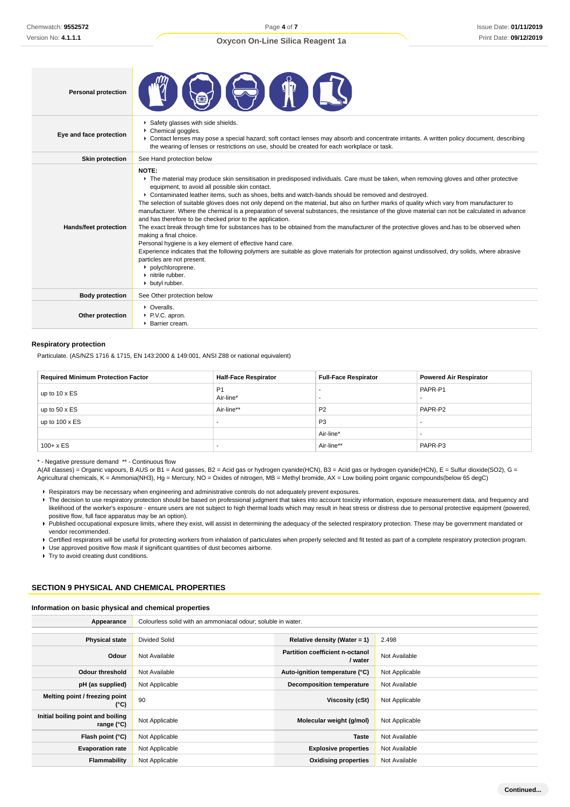| <b>Personal protection</b> |                                                                                                                                                                                                                                                                                                                                                                                                                                                                                                                                                                                                                                                                                                                                                                                                                                                                                                                                                                                                                                                                                                                                                      |
|----------------------------|------------------------------------------------------------------------------------------------------------------------------------------------------------------------------------------------------------------------------------------------------------------------------------------------------------------------------------------------------------------------------------------------------------------------------------------------------------------------------------------------------------------------------------------------------------------------------------------------------------------------------------------------------------------------------------------------------------------------------------------------------------------------------------------------------------------------------------------------------------------------------------------------------------------------------------------------------------------------------------------------------------------------------------------------------------------------------------------------------------------------------------------------------|
| Eye and face protection    | Safety glasses with side shields.<br>Chemical goggles.<br>▶ Contact lenses may pose a special hazard; soft contact lenses may absorb and concentrate irritants. A written policy document, describing<br>the wearing of lenses or restrictions on use, should be created for each workplace or task.                                                                                                                                                                                                                                                                                                                                                                                                                                                                                                                                                                                                                                                                                                                                                                                                                                                 |
| <b>Skin protection</b>     | See Hand protection below                                                                                                                                                                                                                                                                                                                                                                                                                                                                                                                                                                                                                                                                                                                                                                                                                                                                                                                                                                                                                                                                                                                            |
| Hands/feet protection      | NOTE:<br>The material may produce skin sensitisation in predisposed individuals. Care must be taken, when removing gloves and other protective<br>equipment, to avoid all possible skin contact.<br>► Contaminated leather items, such as shoes, belts and watch-bands should be removed and destroyed.<br>The selection of suitable gloves does not only depend on the material, but also on further marks of quality which vary from manufacturer to<br>manufacturer. Where the chemical is a preparation of several substances, the resistance of the glove material can not be calculated in advance<br>and has therefore to be checked prior to the application.<br>The exact break through time for substances has to be obtained from the manufacturer of the protective gloves and has to be observed when<br>making a final choice.<br>Personal hygiene is a key element of effective hand care.<br>Experience indicates that the following polymers are suitable as glove materials for protection against undissolved, dry solids, where abrasive<br>particles are not present.<br>polychloroprene.<br>h nitrile rubber.<br>butyl rubber. |
| <b>Body protection</b>     | See Other protection below                                                                                                                                                                                                                                                                                                                                                                                                                                                                                                                                                                                                                                                                                                                                                                                                                                                                                                                                                                                                                                                                                                                           |
| Other protection           | • Overalls.<br>P.V.C. apron.<br>▶ Barrier cream.                                                                                                                                                                                                                                                                                                                                                                                                                                                                                                                                                                                                                                                                                                                                                                                                                                                                                                                                                                                                                                                                                                     |

### **Respiratory protection**

Particulate. (AS/NZS 1716 & 1715, EN 143:2000 & 149:001, ANSI Z88 or national equivalent)

| <b>Required Minimum Protection Factor</b> | <b>Half-Face Respirator</b> | <b>Full-Face Respirator</b> | <b>Powered Air Respirator</b> |
|-------------------------------------------|-----------------------------|-----------------------------|-------------------------------|
| up to $10 \times ES$                      | P <sub>1</sub><br>Air-line* |                             | PAPR-P1                       |
| up to $50 \times ES$                      | Air-line**                  | P <sub>2</sub>              | PAPR-P2                       |
| up to $100 \times ES$                     |                             | P <sub>3</sub>              |                               |
|                                           |                             | Air-line*                   |                               |
| $100 + x ES$                              |                             | Air-line**                  | PAPR-P3                       |

\* - Negative pressure demand \*\* - Continuous flow

A(All classes) = Organic vapours, B AUS or B1 = Acid gasses, B2 = Acid gas or hydrogen cyanide(HCN), B3 = Acid gas or hydrogen cyanide(HCN), E = Sulfur dioxide(SO2), G = Agricultural chemicals, K = Ammonia(NH3), Hg = Mercury, NO = Oxides of nitrogen, MB = Methyl bromide, AX = Low boiling point organic compounds(below 65 degC)

Respirators may be necessary when engineering and administrative controls do not adequately prevent exposures.

- F The decision to use respiratory protection should be based on professional judgment that takes into account toxicity information, exposure measurement data, and frequency and likelihood of the worker's exposure - ensure users are not subject to high thermal loads which may result in heat stress or distress due to personal protective equipment (powered, positive flow, full face apparatus may be an option).
- Published occupational exposure limits, where they exist, will assist in determining the adequacy of the selected respiratory protection. These may be government mandated or vendor recommended.
- Certified respirators will be useful for protecting workers from inhalation of particulates when properly selected and fit tested as part of a complete respiratory protection program.

Use approved positive flow mask if significant quantities of dust becomes airborne.

**F** Try to avoid creating dust conditions.

# **SECTION 9 PHYSICAL AND CHEMICAL PROPERTIES**

#### **Information on basic physical and chemical properties**

| Appearance                                               | Colourless solid with an ammoniacal odour; soluble in water. |                                                   |                |
|----------------------------------------------------------|--------------------------------------------------------------|---------------------------------------------------|----------------|
|                                                          |                                                              |                                                   |                |
| <b>Physical state</b>                                    | <b>Divided Solid</b>                                         | Relative density (Water = $1$ )                   | 2.498          |
| Odour                                                    | Not Available                                                | <b>Partition coefficient n-octanol</b><br>/ water | Not Available  |
| <b>Odour threshold</b>                                   | Not Available                                                | Auto-ignition temperature (°C)                    | Not Applicable |
| pH (as supplied)                                         | Not Applicable                                               | <b>Decomposition temperature</b>                  | Not Available  |
| Melting point / freezing point<br>(°C)                   | 90                                                           | Viscosity (cSt)                                   | Not Applicable |
| Initial boiling point and boiling<br>range $(^{\circ}C)$ | Not Applicable                                               | Molecular weight (g/mol)                          | Not Applicable |
| Flash point (°C)                                         | Not Applicable                                               | <b>Taste</b>                                      | Not Available  |
| <b>Evaporation rate</b>                                  | Not Applicable                                               | <b>Explosive properties</b>                       | Not Available  |
| <b>Flammability</b>                                      | Not Applicable                                               | <b>Oxidising properties</b>                       | Not Available  |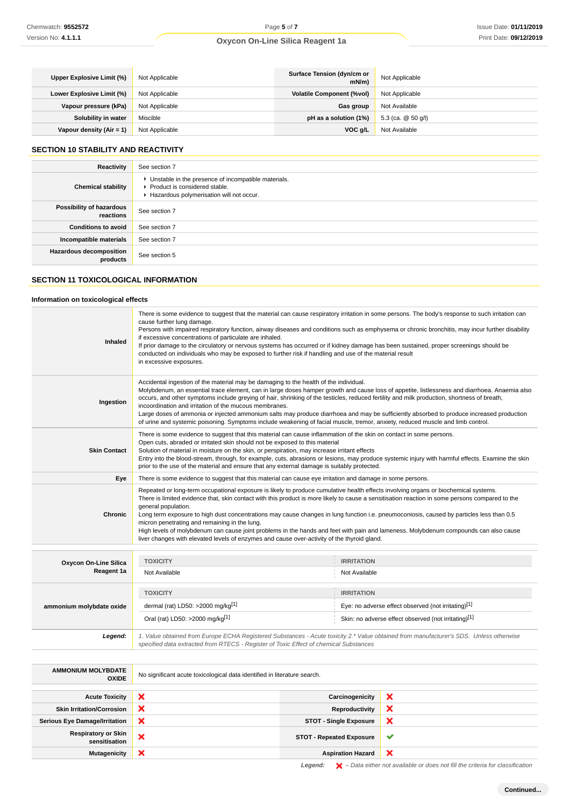| Upper Explosive Limit (%)   | Not Applicable | Surface Tension (dyn/cm or<br>mN/m | Not Applicable     |
|-----------------------------|----------------|------------------------------------|--------------------|
| Lower Explosive Limit (%)   | Not Applicable | <b>Volatile Component (%vol)</b>   | Not Applicable     |
| Vapour pressure (kPa)       | Not Applicable | Gas group                          | Not Available      |
| Solubility in water         | Miscible       | pH as a solution (1%)              | 5.3 (ca. @ 50 g/l) |
| Vapour density (Air = $1$ ) | Not Applicable | VOC g/L                            | Not Available      |

# **SECTION 10 STABILITY AND REACTIVITY**

| Reactivity                                 | See section 7                                                                                                                        |
|--------------------------------------------|--------------------------------------------------------------------------------------------------------------------------------------|
| <b>Chemical stability</b>                  | • Unstable in the presence of incompatible materials.<br>▶ Product is considered stable.<br>Hazardous polymerisation will not occur. |
| Possibility of hazardous<br>reactions      | See section 7                                                                                                                        |
| <b>Conditions to avoid</b>                 | See section 7                                                                                                                        |
| Incompatible materials                     | See section 7                                                                                                                        |
| <b>Hazardous decomposition</b><br>products | See section 5                                                                                                                        |

# **SECTION 11 TOXICOLOGICAL INFORMATION**

# **Information on toxicological effects**

| Inhaled                      | There is some evidence to suggest that the material can cause respiratory irritation in some persons. The body's response to such irritation can<br>cause further lung damage.<br>Persons with impaired respiratory function, airway diseases and conditions such as emphysema or chronic bronchitis, may incur further disability<br>if excessive concentrations of particulate are inhaled.<br>If prior damage to the circulatory or nervous systems has occurred or if kidney damage has been sustained, proper screenings should be<br>conducted on individuals who may be exposed to further risk if handling and use of the material result<br>in excessive exposures.                                                                      |
|------------------------------|---------------------------------------------------------------------------------------------------------------------------------------------------------------------------------------------------------------------------------------------------------------------------------------------------------------------------------------------------------------------------------------------------------------------------------------------------------------------------------------------------------------------------------------------------------------------------------------------------------------------------------------------------------------------------------------------------------------------------------------------------|
| Ingestion                    | Accidental ingestion of the material may be damaging to the health of the individual.<br>Molybdenum, an essential trace element, can in large doses hamper growth and cause loss of appetite, listlessness and diarrhoea. Anaemia also<br>occurs, and other symptoms include greying of hair, shrinking of the testicles, reduced fertility and milk production, shortness of breath,<br>incoordination and irritation of the mucous membranes.<br>Large doses of ammonia or injected ammonium salts may produce diarrhoea and may be sufficiently absorbed to produce increased production<br>of urine and systemic poisoning. Symptoms include weakening of facial muscle, tremor, anxiety, reduced muscle and limb control.                    |
| <b>Skin Contact</b>          | There is some evidence to suggest that this material can cause inflammation of the skin on contact in some persons.<br>Open cuts, abraded or irritated skin should not be exposed to this material<br>Solution of material in moisture on the skin, or perspiration, may increase irritant effects<br>Entry into the blood-stream, through, for example, cuts, abrasions or lesions, may produce systemic injury with harmful effects. Examine the skin<br>prior to the use of the material and ensure that any external damage is suitably protected.                                                                                                                                                                                            |
| Eye                          | There is some evidence to suggest that this material can cause eye irritation and damage in some persons.                                                                                                                                                                                                                                                                                                                                                                                                                                                                                                                                                                                                                                         |
| <b>Chronic</b>               | Repeated or long-term occupational exposure is likely to produce cumulative health effects involving organs or biochemical systems.<br>There is limited evidence that, skin contact with this product is more likely to cause a sensitisation reaction in some persons compared to the<br>general population.<br>Long term exposure to high dust concentrations may cause changes in lung function i.e. pneumoconiosis, caused by particles less than 0.5<br>micron penetrating and remaining in the lung.<br>High levels of molybdenum can cause joint problems in the hands and feet with pain and lameness. Molybdenum compounds can also cause<br>liver changes with elevated levels of enzymes and cause over-activity of the thyroid gland. |
| <b>Oxycon On-Line Silica</b> | <b>TOXICITY</b><br><b>IRRITATION</b>                                                                                                                                                                                                                                                                                                                                                                                                                                                                                                                                                                                                                                                                                                              |

| <b>OAYGUIL OILLING OIIIGA</b> |                                                                                                                                                                                                                                 |                                                      |  |  |
|-------------------------------|---------------------------------------------------------------------------------------------------------------------------------------------------------------------------------------------------------------------------------|------------------------------------------------------|--|--|
| Reagent 1a                    | Not Available                                                                                                                                                                                                                   | Not Available                                        |  |  |
|                               |                                                                                                                                                                                                                                 |                                                      |  |  |
|                               | <b>TOXICITY</b>                                                                                                                                                                                                                 | <b>IRRITATION</b>                                    |  |  |
| ammonium molybdate oxide      | dermal (rat) LD50: $>2000$ mg/kg <sup>[1]</sup>                                                                                                                                                                                 | Eye: no adverse effect observed (not irritating)[1]  |  |  |
|                               | Oral (rat) LD50: >2000 mg/kg[1]                                                                                                                                                                                                 | Skin: no adverse effect observed (not irritating)[1] |  |  |
| Legend:                       |                                                                                                                                                                                                                                 |                                                      |  |  |
|                               | 1. Value obtained from Europe ECHA Registered Substances - Acute toxicity 2.* Value obtained from manufacturer's SDS. Unless otherwise<br>specified data extracted from RTECS - Register of Toxic Effect of chemical Substances |                                                      |  |  |

| <b>AMMONIUM MOLYBDATE</b><br><b>OXIDE</b>   | No significant acute toxicological data identified in literature search. |                                 |   |
|---------------------------------------------|--------------------------------------------------------------------------|---------------------------------|---|
|                                             |                                                                          |                                 |   |
| <b>Acute Toxicity</b>                       | ×                                                                        | Carcinogenicity                 | ж |
| <b>Skin Irritation/Corrosion</b>            | ×                                                                        | Reproductivity                  | × |
| <b>Serious Eye Damage/Irritation</b>        | ×                                                                        | <b>STOT - Single Exposure</b>   | × |
| <b>Respiratory or Skin</b><br>sensitisation | ×                                                                        | <b>STOT - Repeated Exposure</b> | v |
| <b>Mutagenicity</b>                         | ×                                                                        | <b>Aspiration Hazard</b>        | ◠ |

Legend:  $\blacktriangleright$  - Data either not available or does not fill the criteria for classification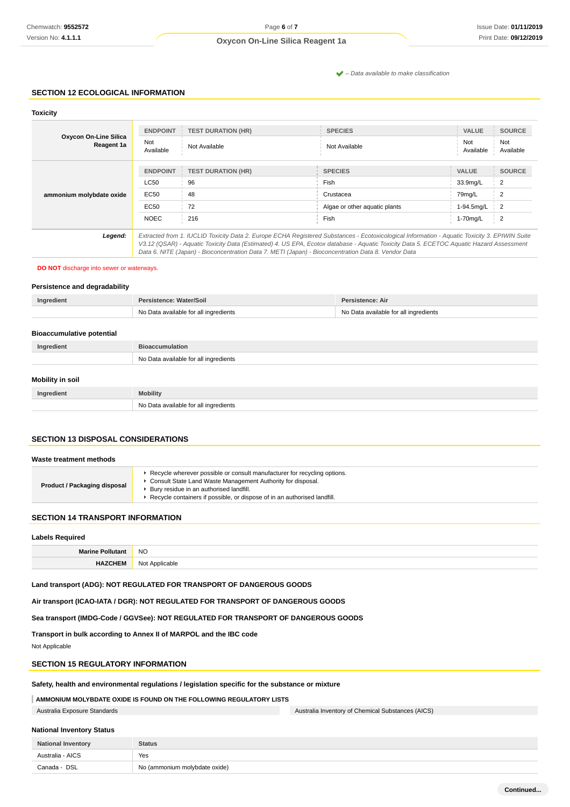$\blacktriangleright$  – Data available to make classification

## **SECTION 12 ECOLOGICAL INFORMATION**

| <b>Toxicity</b>                     |                                                                                                                                                                                                                                                                                                                                                                                                 |                           |                               |                     |                      |
|-------------------------------------|-------------------------------------------------------------------------------------------------------------------------------------------------------------------------------------------------------------------------------------------------------------------------------------------------------------------------------------------------------------------------------------------------|---------------------------|-------------------------------|---------------------|----------------------|
| Oxycon On-Line Silica<br>Reagent 1a | <b>ENDPOINT</b><br>Not                                                                                                                                                                                                                                                                                                                                                                          | <b>TEST DURATION (HR)</b> | <b>SPECIES</b>                | <b>VALUE</b><br>Not | <b>SOURCE</b><br>Not |
|                                     | Available                                                                                                                                                                                                                                                                                                                                                                                       | Not Available             | Not Available                 | Available           | Available            |
|                                     | <b>ENDPOINT</b>                                                                                                                                                                                                                                                                                                                                                                                 | <b>TEST DURATION (HR)</b> | <b>SPECIES</b>                | <b>VALUE</b>        | <b>SOURCE</b>        |
| ammonium molybdate oxide            | <b>LC50</b>                                                                                                                                                                                                                                                                                                                                                                                     | 96                        | Fish                          | 33.9mg/L            | 2                    |
|                                     | EC50                                                                                                                                                                                                                                                                                                                                                                                            | 48                        | Crustacea                     | 79mg/L              | 2                    |
|                                     | EC50                                                                                                                                                                                                                                                                                                                                                                                            | 72                        | Algae or other aguatic plants | 1-94.5mg/L          | 2                    |
|                                     | <b>NOEC</b>                                                                                                                                                                                                                                                                                                                                                                                     | 216                       | Fish                          | 1-70mg/L            | 2                    |
| Legend:                             | Extracted from 1. IUCLID Toxicity Data 2. Europe ECHA Registered Substances - Ecotoxicological Information - Aquatic Toxicity 3. EPIWIN Suite<br>V3.12 (QSAR) - Aquatic Toxicity Data (Estimated) 4. US EPA, Ecotox database - Aquatic Toxicity Data 5. ECETOC Aquatic Hazard Assessment<br>Data 6. NITE (Japan) - Bioconcentration Data 7. METI (Japan) - Bioconcentration Data 8. Vendor Data |                           |                               |                     |                      |

**DO NOT** discharge into sewer or waterways.

### **Persistence and degradability**

| Ingredient | Persistence: Water/Soil               | Persistence: Air                      |
|------------|---------------------------------------|---------------------------------------|
|            | No Data available for all ingredients | No Data available for all ingredients |
|            |                                       |                                       |

| <b>Bioaccumulative potential</b> |                                       |  |  |
|----------------------------------|---------------------------------------|--|--|
| Ingredient                       | <b>Bioaccumulation</b>                |  |  |
|                                  | No Data available for all ingredients |  |  |
| Mobility in soil                 |                                       |  |  |

# **Ingredient Mobility** No Data available for all ingredients

# **SECTION 13 DISPOSAL CONSIDERATIONS**

#### **Waste treatment methods**

| <b>Product / Packaging disposal</b> | ► Recycle wherever possible or consult manufacturer for recycling options.<br>Consult State Land Waste Management Authority for disposal.<br>Bury residue in an authorised landfill.<br>▶ Recycle containers if possible, or dispose of in an authorised landfill. |
|-------------------------------------|--------------------------------------------------------------------------------------------------------------------------------------------------------------------------------------------------------------------------------------------------------------------|
|-------------------------------------|--------------------------------------------------------------------------------------------------------------------------------------------------------------------------------------------------------------------------------------------------------------------|

# **SECTION 14 TRANSPORT INFORMATION**

| <b>Labels Required</b>  |                |  |
|-------------------------|----------------|--|
| <b>Marine Pollutant</b> | <b>NO</b>      |  |
| <b>IAZCHEM</b>          | Not Applicable |  |

# **Land transport (ADG): NOT REGULATED FOR TRANSPORT OF DANGEROUS GOODS**

**Air transport (ICAO-IATA / DGR): NOT REGULATED FOR TRANSPORT OF DANGEROUS GOODS**

**Sea transport (IMDG-Code / GGVSee): NOT REGULATED FOR TRANSPORT OF DANGEROUS GOODS**

**Transport in bulk according to Annex II of MARPOL and the IBC code**

Not Applicable

### **SECTION 15 REGULATORY INFORMATION**

**Safety, health and environmental regulations / legislation specific for the substance or mixture**

# **AMMONIUM MOLYBDATE OXIDE IS FOUND ON THE FOLLOWING REGULATORY LISTS**

Australia Exposure Standards Australia Inventory of Chemical Substances (AICS)

### **National Inventory Status**

| <b>National Inventory</b> | <b>Status</b>                 |  |
|---------------------------|-------------------------------|--|
| Australia - AICS          | Yes                           |  |
| Canada - DSL              | No (ammonium molybdate oxide) |  |